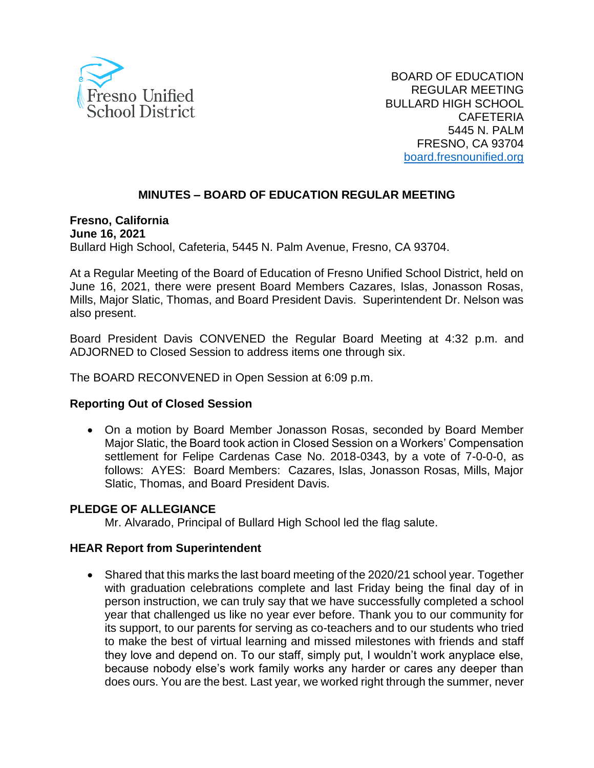

BOARD OF EDUCATION REGULAR MEETING BULLARD HIGH SCHOOL **CAFETERIA** 5445 N. PALM FRESNO, CA 93704 [board.fresnounified.org](https://board.fresnounified.org/)

### **MINUTES – BOARD OF EDUCATION REGULAR MEETING**

**Fresno, California June 16, 2021** Bullard High School, Cafeteria, 5445 N. Palm Avenue, Fresno, CA 93704.

At a Regular Meeting of the Board of Education of Fresno Unified School District, held on June 16, 2021, there were present Board Members Cazares, Islas, Jonasson Rosas, Mills, Major Slatic, Thomas, and Board President Davis. Superintendent Dr. Nelson was also present.

Board President Davis CONVENED the Regular Board Meeting at 4:32 p.m. and ADJORNED to Closed Session to address items one through six.

The BOARD RECONVENED in Open Session at 6:09 p.m.

#### **Reporting Out of Closed Session**

• On a motion by Board Member Jonasson Rosas, seconded by Board Member Major Slatic, the Board took action in Closed Session on a Workers' Compensation settlement for Felipe Cardenas Case No. 2018-0343, by a vote of 7-0-0-0, as follows: AYES: Board Members: Cazares, Islas, Jonasson Rosas, Mills, Major Slatic, Thomas, and Board President Davis.

#### **PLEDGE OF ALLEGIANCE**

Mr. Alvarado, Principal of Bullard High School led the flag salute.

#### **HEAR Report from Superintendent**

• Shared that this marks the last board meeting of the 2020/21 school year. Together with graduation celebrations complete and last Friday being the final day of in person instruction, we can truly say that we have successfully completed a school year that challenged us like no year ever before. Thank you to our community for its support, to our parents for serving as co-teachers and to our students who tried to make the best of virtual learning and missed milestones with friends and staff they love and depend on. To our staff, simply put, I wouldn't work anyplace else, because nobody else's work family works any harder or cares any deeper than does ours. You are the best. Last year, we worked right through the summer, never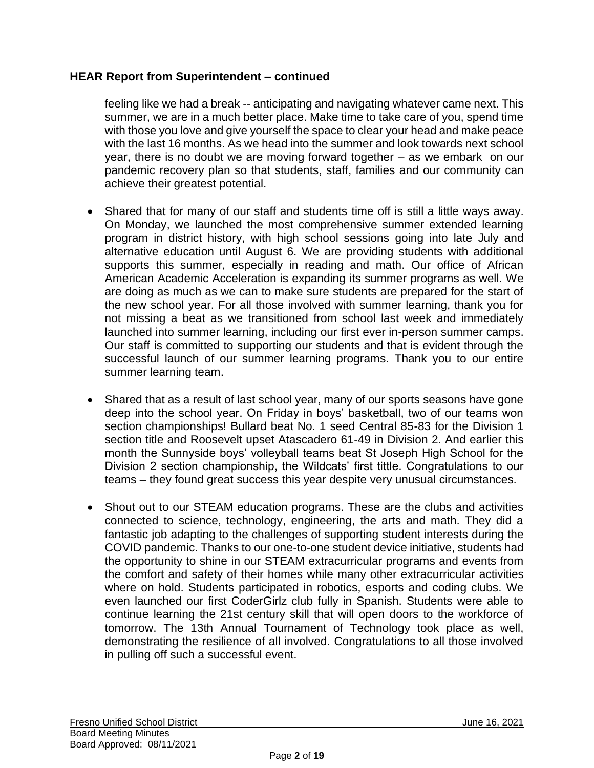### **HEAR Report from Superintendent – continued**

feeling like we had a break -- anticipating and navigating whatever came next. This summer, we are in a much better place. Make time to take care of you, spend time with those you love and give yourself the space to clear your head and make peace with the last 16 months. As we head into the summer and look towards next school year, there is no doubt we are moving forward together – as we embark on our pandemic recovery plan so that students, staff, families and our community can achieve their greatest potential.

- Shared that for many of our staff and students time off is still a little ways away. On Monday, we launched the most comprehensive summer extended learning program in district history, with high school sessions going into late July and alternative education until August 6. We are providing students with additional supports this summer, especially in reading and math. Our office of African American Academic Acceleration is expanding its summer programs as well. We are doing as much as we can to make sure students are prepared for the start of the new school year. For all those involved with summer learning, thank you for not missing a beat as we transitioned from school last week and immediately launched into summer learning, including our first ever in-person summer camps. Our staff is committed to supporting our students and that is evident through the successful launch of our summer learning programs. Thank you to our entire summer learning team.
- Shared that as a result of last school year, many of our sports seasons have gone deep into the school year. On Friday in boys' basketball, two of our teams won section championships! Bullard beat No. 1 seed Central 85-83 for the Division 1 section title and Roosevelt upset Atascadero 61-49 in Division 2. And earlier this month the Sunnyside boys' volleyball teams beat St Joseph High School for the Division 2 section championship, the Wildcats' first tittle. Congratulations to our teams – they found great success this year despite very unusual circumstances.
- Shout out to our STEAM education programs. These are the clubs and activities connected to science, technology, engineering, the arts and math. They did a fantastic job adapting to the challenges of supporting student interests during the COVID pandemic. Thanks to our one-to-one student device initiative, students had the opportunity to shine in our STEAM extracurricular programs and events from the comfort and safety of their homes while many other extracurricular activities where on hold. Students participated in robotics, esports and coding clubs. We even launched our first CoderGirlz club fully in Spanish. Students were able to continue learning the 21st century skill that will open doors to the workforce of tomorrow. The 13th Annual Tournament of Technology took place as well, demonstrating the resilience of all involved. Congratulations to all those involved in pulling off such a successful event.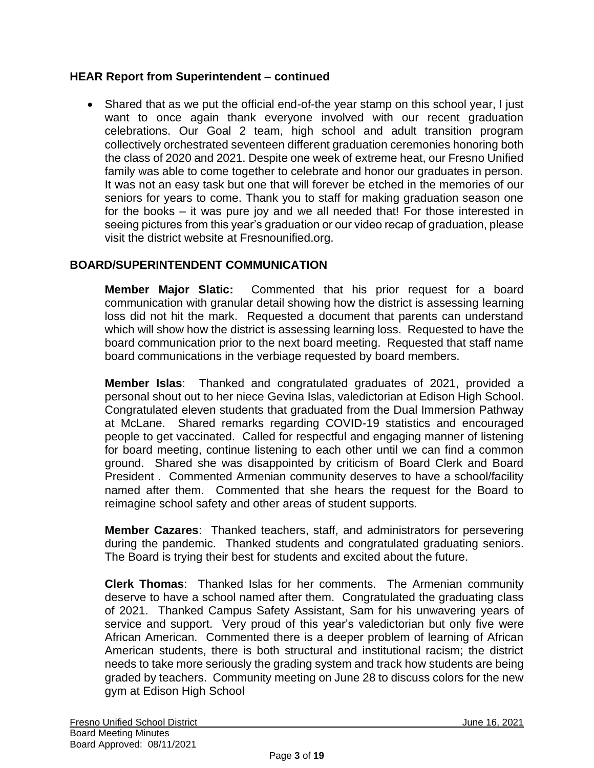### **HEAR Report from Superintendent – continued**

• Shared that as we put the official end-of-the year stamp on this school year, I just want to once again thank everyone involved with our recent graduation celebrations. Our Goal 2 team, high school and adult transition program collectively orchestrated seventeen different graduation ceremonies honoring both the class of 2020 and 2021. Despite one week of extreme heat, our Fresno Unified family was able to come together to celebrate and honor our graduates in person. It was not an easy task but one that will forever be etched in the memories of our seniors for years to come. Thank you to staff for making graduation season one for the books – it was pure joy and we all needed that! For those interested in seeing pictures from this year's graduation or our video recap of graduation, please visit the district website at Fresnounified.org.

### **BOARD/SUPERINTENDENT COMMUNICATION**

**Member Major Slatic:** Commented that his prior request for a board communication with granular detail showing how the district is assessing learning loss did not hit the mark. Requested a document that parents can understand which will show how the district is assessing learning loss. Requested to have the board communication prior to the next board meeting. Requested that staff name board communications in the verbiage requested by board members.

**Member Islas**: Thanked and congratulated graduates of 2021, provided a personal shout out to her niece Gevina Islas, valedictorian at Edison High School. Congratulated eleven students that graduated from the Dual Immersion Pathway at McLane. Shared remarks regarding COVID-19 statistics and encouraged people to get vaccinated. Called for respectful and engaging manner of listening for board meeting, continue listening to each other until we can find a common ground. Shared she was disappointed by criticism of Board Clerk and Board President . Commented Armenian community deserves to have a school/facility named after them. Commented that she hears the request for the Board to reimagine school safety and other areas of student supports.

**Member Cazares**: Thanked teachers, staff, and administrators for persevering during the pandemic. Thanked students and congratulated graduating seniors. The Board is trying their best for students and excited about the future.

**Clerk Thomas**: Thanked Islas for her comments. The Armenian community deserve to have a school named after them. Congratulated the graduating class of 2021. Thanked Campus Safety Assistant, Sam for his unwavering years of service and support. Very proud of this year's valedictorian but only five were African American. Commented there is a deeper problem of learning of African American students, there is both structural and institutional racism; the district needs to take more seriously the grading system and track how students are being graded by teachers. Community meeting on June 28 to discuss colors for the new gym at Edison High School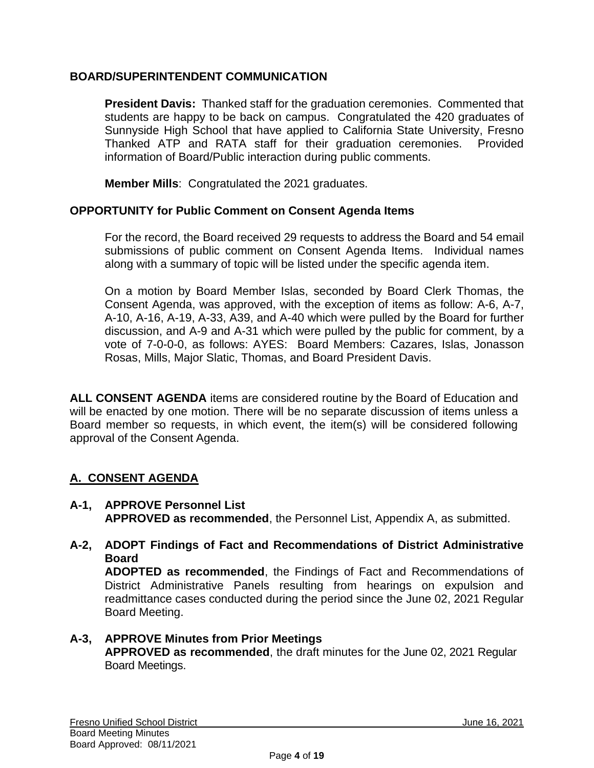### **BOARD/SUPERINTENDENT COMMUNICATION**

**President Davis:** Thanked staff for the graduation ceremonies. Commented that students are happy to be back on campus. Congratulated the 420 graduates of Sunnyside High School that have applied to California State University, Fresno Thanked ATP and RATA staff for their graduation ceremonies. Provided information of Board/Public interaction during public comments.

**Member Mills**: Congratulated the 2021 graduates.

### **OPPORTUNITY for Public Comment on Consent Agenda Items**

For the record, the Board received 29 requests to address the Board and 54 email submissions of public comment on Consent Agenda Items. Individual names along with a summary of topic will be listed under the specific agenda item.

On a motion by Board Member Islas, seconded by Board Clerk Thomas, the Consent Agenda, was approved, with the exception of items as follow: A-6, A-7, A-10, A-16, A-19, A-33, A39, and A-40 which were pulled by the Board for further discussion, and A-9 and A-31 which were pulled by the public for comment, by a vote of 7-0-0-0, as follows: AYES: Board Members: Cazares, Islas, Jonasson Rosas, Mills, Major Slatic, Thomas, and Board President Davis.

**ALL CONSENT AGENDA** items are considered routine by the Board of Education and will be enacted by one motion. There will be no separate discussion of items unless a Board member so requests, in which event, the item(s) will be considered following approval of the Consent Agenda.

### **A. CONSENT AGENDA**

- **A-1, APPROVE Personnel List APPROVED as recommended**, the Personnel List, Appendix A, as submitted.
- **A-2, ADOPT Findings of Fact and Recommendations of District Administrative Board**

**ADOPTED as recommended**, the Findings of Fact and Recommendations of District Administrative Panels resulting from hearings on expulsion and readmittance cases conducted during the period since the June 02, 2021 Regular Board Meeting.

### **A-3, APPROVE Minutes from Prior Meetings APPROVED as recommended**, the draft minutes for the June 02, 2021 Regular Board Meetings.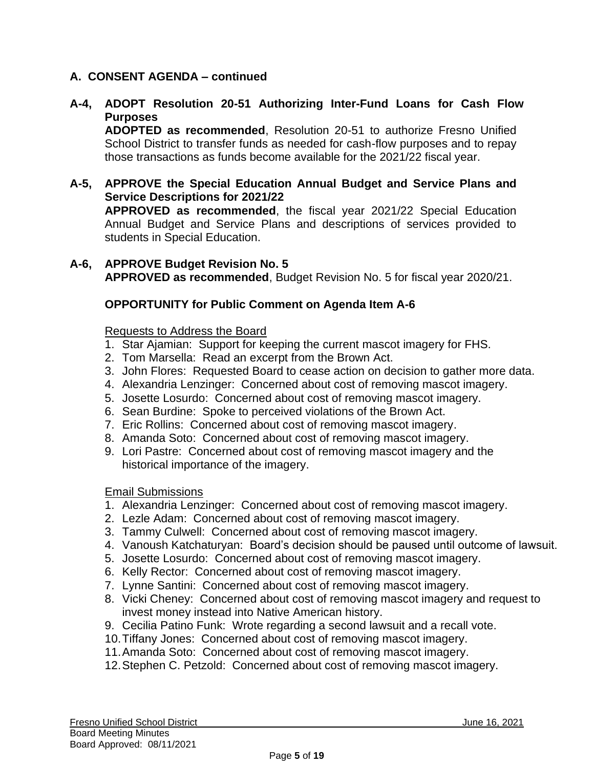### **A-4, ADOPT Resolution 20-51 Authorizing Inter-Fund Loans for Cash Flow Purposes**

**ADOPTED as recommended**, Resolution 20-51 to authorize Fresno Unified School District to transfer funds as needed for cash-flow purposes and to repay those transactions as funds become available for the 2021/22 fiscal year.

- **A-5, APPROVE the Special Education Annual Budget and Service Plans and Service Descriptions for 2021/22 APPROVED as recommended**, the fiscal year 2021/22 Special Education Annual Budget and Service Plans and descriptions of services provided to students in Special Education.
- **A-6, APPROVE Budget Revision No. 5 APPROVED as recommended**, Budget Revision No. 5 for fiscal year 2020/21.

### **OPPORTUNITY for Public Comment on Agenda Item A-6**

#### Requests to Address the Board

- 1. Star Ajamian: Support for keeping the current mascot imagery for FHS.
- 2. Tom Marsella: Read an excerpt from the Brown Act.
- 3. John Flores: Requested Board to cease action on decision to gather more data.
- 4. Alexandria Lenzinger: Concerned about cost of removing mascot imagery.
- 5. Josette Losurdo: Concerned about cost of removing mascot imagery.
- 6. Sean Burdine: Spoke to perceived violations of the Brown Act.
- 7. Eric Rollins: Concerned about cost of removing mascot imagery.
- 8. Amanda Soto: Concerned about cost of removing mascot imagery.
- 9. Lori Pastre: Concerned about cost of removing mascot imagery and the historical importance of the imagery.

#### Email Submissions

- 1. Alexandria Lenzinger: Concerned about cost of removing mascot imagery.
- 2. Lezle Adam: Concerned about cost of removing mascot imagery.
- 3. Tammy Culwell: Concerned about cost of removing mascot imagery.
- 4. Vanoush Katchaturyan: Board's decision should be paused until outcome of lawsuit.
- 5. Josette Losurdo: Concerned about cost of removing mascot imagery.
- 6. Kelly Rector: Concerned about cost of removing mascot imagery.
- 7. Lynne Santini: Concerned about cost of removing mascot imagery.
- 8. Vicki Cheney: Concerned about cost of removing mascot imagery and request to invest money instead into Native American history.
- 9. Cecilia Patino Funk: Wrote regarding a second lawsuit and a recall vote.
- 10.Tiffany Jones: Concerned about cost of removing mascot imagery.
- 11.Amanda Soto: Concerned about cost of removing mascot imagery.
- 12.Stephen C. Petzold: Concerned about cost of removing mascot imagery.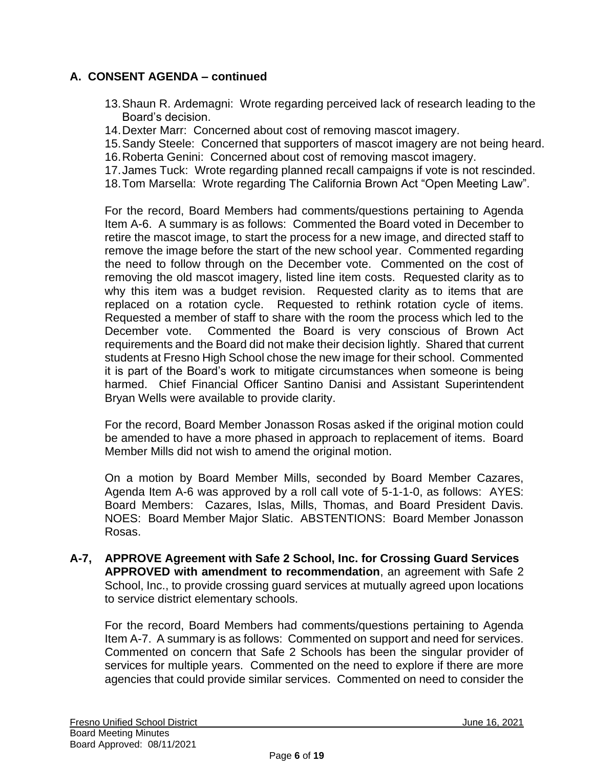- 13.Shaun R. Ardemagni: Wrote regarding perceived lack of research leading to the Board's decision.
- 14.Dexter Marr: Concerned about cost of removing mascot imagery.
- 15.Sandy Steele: Concerned that supporters of mascot imagery are not being heard.
- 16.Roberta Genini: Concerned about cost of removing mascot imagery.
- 17.James Tuck: Wrote regarding planned recall campaigns if vote is not rescinded.
- 18.Tom Marsella: Wrote regarding The California Brown Act "Open Meeting Law".

For the record, Board Members had comments/questions pertaining to Agenda Item A-6. A summary is as follows: Commented the Board voted in December to retire the mascot image, to start the process for a new image, and directed staff to remove the image before the start of the new school year. Commented regarding the need to follow through on the December vote. Commented on the cost of removing the old mascot imagery, listed line item costs. Requested clarity as to why this item was a budget revision. Requested clarity as to items that are replaced on a rotation cycle. Requested to rethink rotation cycle of items. Requested a member of staff to share with the room the process which led to the December vote. Commented the Board is very conscious of Brown Act requirements and the Board did not make their decision lightly. Shared that current students at Fresno High School chose the new image for their school. Commented it is part of the Board's work to mitigate circumstances when someone is being harmed. Chief Financial Officer Santino Danisi and Assistant Superintendent Bryan Wells were available to provide clarity.

For the record, Board Member Jonasson Rosas asked if the original motion could be amended to have a more phased in approach to replacement of items. Board Member Mills did not wish to amend the original motion.

On a motion by Board Member Mills, seconded by Board Member Cazares, Agenda Item A-6 was approved by a roll call vote of 5-1-1-0, as follows: AYES: Board Members: Cazares, Islas, Mills, Thomas, and Board President Davis. NOES: Board Member Major Slatic. ABSTENTIONS: Board Member Jonasson Rosas.

**A-7, APPROVE Agreement with Safe 2 School, Inc. for Crossing Guard Services APPROVED with amendment to recommendation**, an agreement with Safe 2 School, Inc., to provide crossing guard services at mutually agreed upon locations to service district elementary schools.

For the record, Board Members had comments/questions pertaining to Agenda Item A-7. A summary is as follows: Commented on support and need for services. Commented on concern that Safe 2 Schools has been the singular provider of services for multiple years. Commented on the need to explore if there are more agencies that could provide similar services. Commented on need to consider the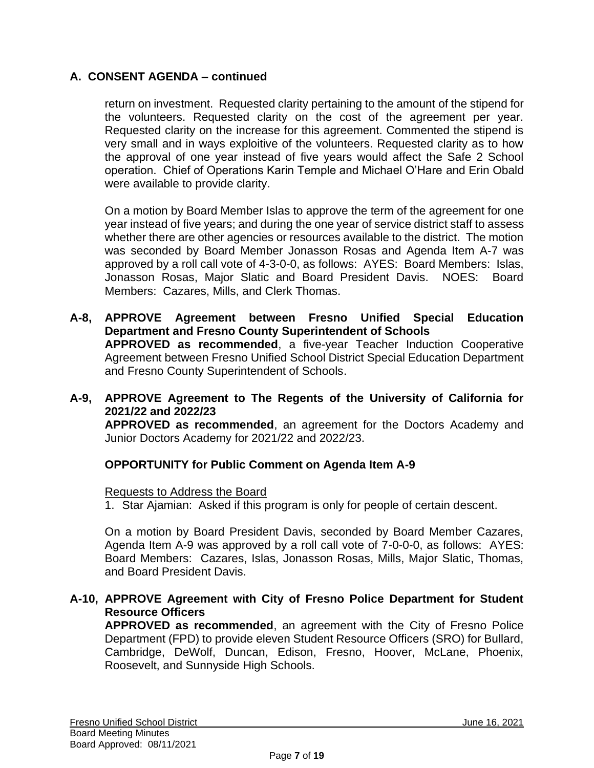return on investment. Requested clarity pertaining to the amount of the stipend for the volunteers. Requested clarity on the cost of the agreement per year. Requested clarity on the increase for this agreement. Commented the stipend is very small and in ways exploitive of the volunteers. Requested clarity as to how the approval of one year instead of five years would affect the Safe 2 School operation. Chief of Operations Karin Temple and Michael O'Hare and Erin Obald were available to provide clarity.

On a motion by Board Member Islas to approve the term of the agreement for one year instead of five years; and during the one year of service district staff to assess whether there are other agencies or resources available to the district. The motion was seconded by Board Member Jonasson Rosas and Agenda Item A-7 was approved by a roll call vote of 4-3-0-0, as follows: AYES: Board Members: Islas, Jonasson Rosas, Major Slatic and Board President Davis. NOES: Board Members: Cazares, Mills, and Clerk Thomas.

**A-8, APPROVE Agreement between Fresno Unified Special Education Department and Fresno County Superintendent of Schools APPROVED as recommended**, a five-year Teacher Induction Cooperative Agreement between Fresno Unified School District Special Education Department and Fresno County Superintendent of Schools.

### **A-9, APPROVE Agreement to The Regents of the University of California for 2021/22 and 2022/23**

**APPROVED as recommended**, an agreement for the Doctors Academy and Junior Doctors Academy for 2021/22 and 2022/23.

### **OPPORTUNITY for Public Comment on Agenda Item A-9**

#### Requests to Address the Board

1. Star Ajamian: Asked if this program is only for people of certain descent.

On a motion by Board President Davis, seconded by Board Member Cazares, Agenda Item A-9 was approved by a roll call vote of 7-0-0-0, as follows: AYES: Board Members: Cazares, Islas, Jonasson Rosas, Mills, Major Slatic, Thomas, and Board President Davis.

### **A-10, APPROVE Agreement with City of Fresno Police Department for Student Resource Officers**

**APPROVED as recommended**, an agreement with the City of Fresno Police Department (FPD) to provide eleven Student Resource Officers (SRO) for Bullard, Cambridge, DeWolf, Duncan, Edison, Fresno, Hoover, McLane, Phoenix, Roosevelt, and Sunnyside High Schools.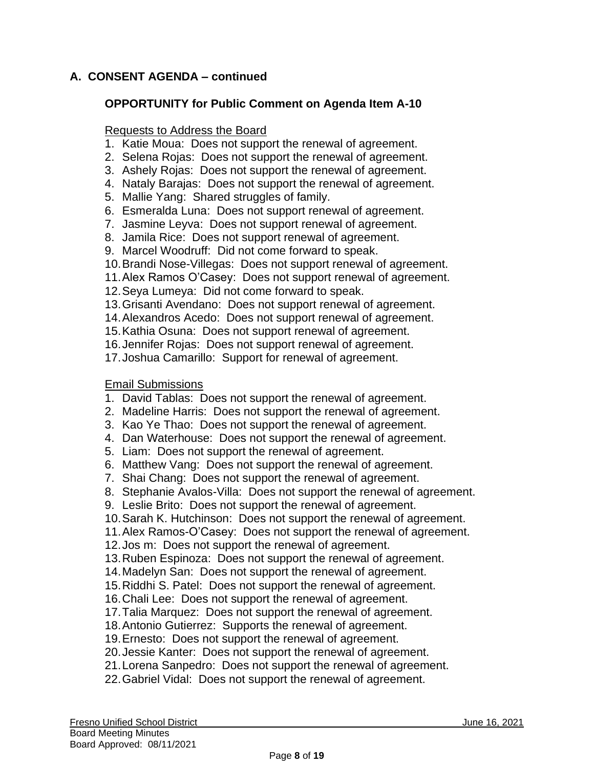### **OPPORTUNITY for Public Comment on Agenda Item A-10**

#### Requests to Address the Board

- 1. Katie Moua: Does not support the renewal of agreement.
- 2. Selena Rojas: Does not support the renewal of agreement.
- 3. Ashely Rojas: Does not support the renewal of agreement.
- 4. Nataly Barajas: Does not support the renewal of agreement.
- 5. Mallie Yang: Shared struggles of family.
- 6. Esmeralda Luna: Does not support renewal of agreement.
- 7. Jasmine Leyva: Does not support renewal of agreement.
- 8. Jamila Rice: Does not support renewal of agreement.
- 9. Marcel Woodruff: Did not come forward to speak.
- 10.Brandi Nose-Villegas: Does not support renewal of agreement.
- 11.Alex Ramos O'Casey: Does not support renewal of agreement.
- 12.Seya Lumeya: Did not come forward to speak.
- 13.Grisanti Avendano: Does not support renewal of agreement.
- 14.Alexandros Acedo: Does not support renewal of agreement.
- 15.Kathia Osuna: Does not support renewal of agreement.
- 16.Jennifer Rojas: Does not support renewal of agreement.
- 17.Joshua Camarillo: Support for renewal of agreement.

#### Email Submissions

- 1. David Tablas: Does not support the renewal of agreement.
- 2. Madeline Harris: Does not support the renewal of agreement.
- 3. Kao Ye Thao: Does not support the renewal of agreement.
- 4. Dan Waterhouse: Does not support the renewal of agreement.
- 5. Liam: Does not support the renewal of agreement.
- 6. Matthew Vang: Does not support the renewal of agreement.
- 7. Shai Chang: Does not support the renewal of agreement.
- 8. Stephanie Avalos-Villa: Does not support the renewal of agreement.
- 9. Leslie Brito: Does not support the renewal of agreement.
- 10.Sarah K. Hutchinson: Does not support the renewal of agreement.
- 11.Alex Ramos-O'Casey: Does not support the renewal of agreement.
- 12.Jos m: Does not support the renewal of agreement.
- 13.Ruben Espinoza: Does not support the renewal of agreement.
- 14.Madelyn San: Does not support the renewal of agreement.
- 15.Riddhi S. Patel: Does not support the renewal of agreement.
- 16.Chali Lee: Does not support the renewal of agreement.
- 17.Talia Marquez: Does not support the renewal of agreement.
- 18.Antonio Gutierrez: Supports the renewal of agreement.
- 19.Ernesto: Does not support the renewal of agreement.
- 20.Jessie Kanter: Does not support the renewal of agreement.
- 21.Lorena Sanpedro: Does not support the renewal of agreement.
- 22.Gabriel Vidal: Does not support the renewal of agreement.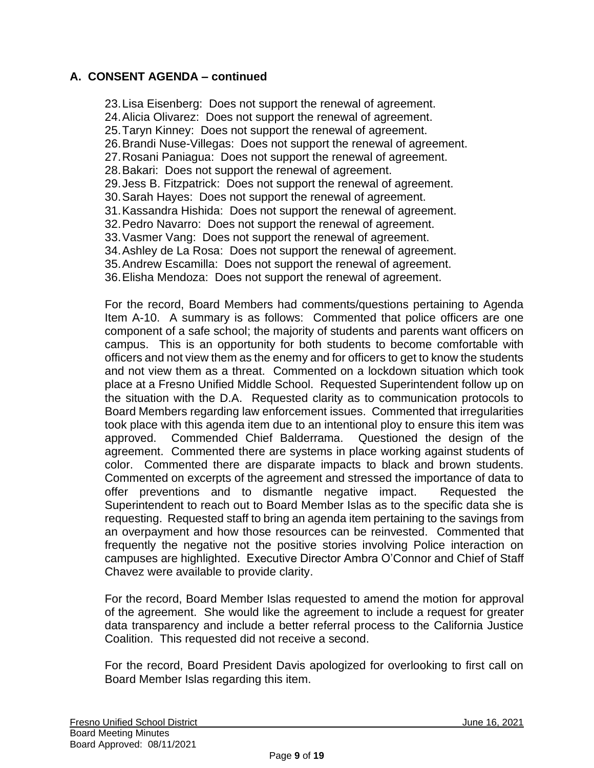23.Lisa Eisenberg: Does not support the renewal of agreement. 24.Alicia Olivarez: Does not support the renewal of agreement. 25.Taryn Kinney: Does not support the renewal of agreement. 26.Brandi Nuse-Villegas: Does not support the renewal of agreement. 27.Rosani Paniagua: Does not support the renewal of agreement. 28.Bakari: Does not support the renewal of agreement. 29.Jess B. Fitzpatrick: Does not support the renewal of agreement. 30.Sarah Hayes: Does not support the renewal of agreement. 31.Kassandra Hishida: Does not support the renewal of agreement. 32.Pedro Navarro: Does not support the renewal of agreement. 33.Vasmer Vang: Does not support the renewal of agreement. 34.Ashley de La Rosa: Does not support the renewal of agreement. 35.Andrew Escamilla: Does not support the renewal of agreement. 36.Elisha Mendoza: Does not support the renewal of agreement.

For the record, Board Members had comments/questions pertaining to Agenda Item A-10. A summary is as follows: Commented that police officers are one component of a safe school; the majority of students and parents want officers on campus. This is an opportunity for both students to become comfortable with officers and not view them as the enemy and for officers to get to know the students and not view them as a threat. Commented on a lockdown situation which took place at a Fresno Unified Middle School. Requested Superintendent follow up on the situation with the D.A. Requested clarity as to communication protocols to Board Members regarding law enforcement issues. Commented that irregularities took place with this agenda item due to an intentional ploy to ensure this item was approved. Commended Chief Balderrama. Questioned the design of the agreement. Commented there are systems in place working against students of color. Commented there are disparate impacts to black and brown students. Commented on excerpts of the agreement and stressed the importance of data to offer preventions and to dismantle negative impact. Requested the Superintendent to reach out to Board Member Islas as to the specific data she is requesting. Requested staff to bring an agenda item pertaining to the savings from an overpayment and how those resources can be reinvested. Commented that frequently the negative not the positive stories involving Police interaction on campuses are highlighted. Executive Director Ambra O'Connor and Chief of Staff Chavez were available to provide clarity.

For the record, Board Member Islas requested to amend the motion for approval of the agreement. She would like the agreement to include a request for greater data transparency and include a better referral process to the California Justice Coalition. This requested did not receive a second.

For the record, Board President Davis apologized for overlooking to first call on Board Member Islas regarding this item.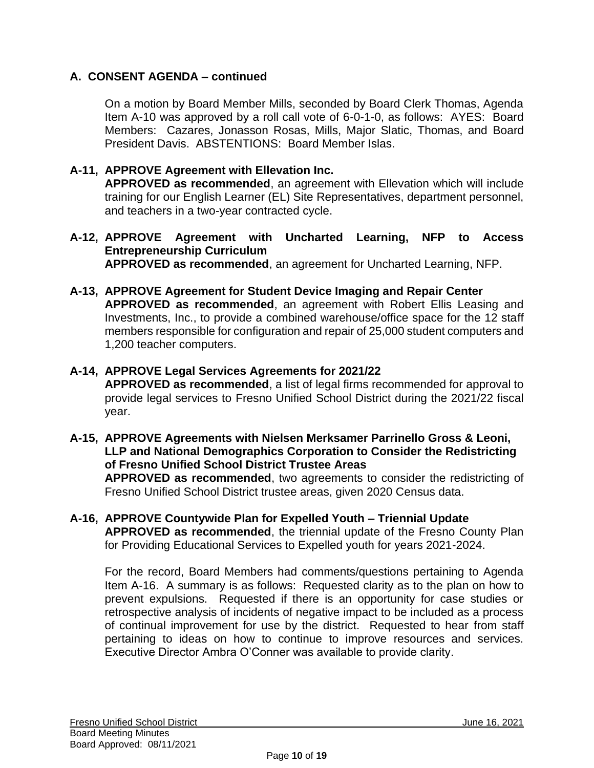On a motion by Board Member Mills, seconded by Board Clerk Thomas, Agenda Item A-10 was approved by a roll call vote of 6-0-1-0, as follows: AYES: Board Members: Cazares, Jonasson Rosas, Mills, Major Slatic, Thomas, and Board President Davis. ABSTENTIONS: Board Member Islas.

# **A-11, APPROVE Agreement with Ellevation Inc.**

**APPROVED as recommended**, an agreement with Ellevation which will include training for our English Learner (EL) Site Representatives, department personnel, and teachers in a two-year contracted cycle.

- **A-12, APPROVE Agreement with Uncharted Learning, NFP to Access Entrepreneurship Curriculum APPROVED as recommended**, an agreement for Uncharted Learning, NFP.
- **A-13, APPROVE Agreement for Student Device Imaging and Repair Center APPROVED as recommended**, an agreement with Robert Ellis Leasing and Investments, Inc., to provide a combined warehouse/office space for the 12 staff members responsible for configuration and repair of 25,000 student computers and 1,200 teacher computers.

### **A-14, APPROVE Legal Services Agreements for 2021/22**

**APPROVED as recommended**, a list of legal firms recommended for approval to provide legal services to Fresno Unified School District during the 2021/22 fiscal year.

**A-15, APPROVE Agreements with Nielsen Merksamer Parrinello Gross & Leoni, LLP and National Demographics Corporation to Consider the Redistricting of Fresno Unified School District Trustee Areas**

**APPROVED as recommended**, two agreements to consider the redistricting of Fresno Unified School District trustee areas, given 2020 Census data.

**A-16, APPROVE Countywide Plan for Expelled Youth – Triennial Update APPROVED as recommended**, the triennial update of the Fresno County Plan for Providing Educational Services to Expelled youth for years 2021-2024.

For the record, Board Members had comments/questions pertaining to Agenda Item A-16. A summary is as follows: Requested clarity as to the plan on how to prevent expulsions. Requested if there is an opportunity for case studies or retrospective analysis of incidents of negative impact to be included as a process of continual improvement for use by the district. Requested to hear from staff pertaining to ideas on how to continue to improve resources and services. Executive Director Ambra O'Conner was available to provide clarity.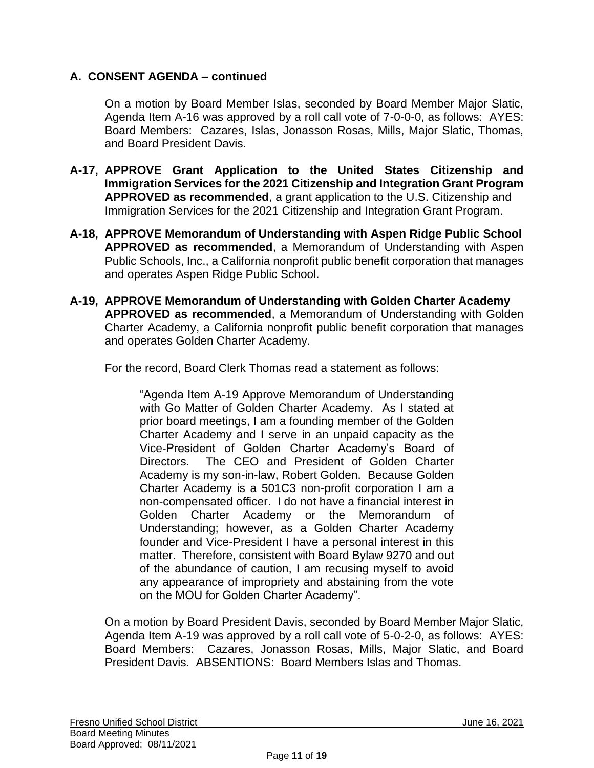On a motion by Board Member Islas, seconded by Board Member Major Slatic, Agenda Item A-16 was approved by a roll call vote of 7-0-0-0, as follows: AYES: Board Members: Cazares, Islas, Jonasson Rosas, Mills, Major Slatic, Thomas, and Board President Davis.

- **A-17, APPROVE Grant Application to the United States Citizenship and Immigration Services for the 2021 Citizenship and Integration Grant Program APPROVED as recommended**, a grant application to the U.S. Citizenship and Immigration Services for the 2021 Citizenship and Integration Grant Program.
- **A-18, APPROVE Memorandum of Understanding with Aspen Ridge Public School APPROVED as recommended**, a Memorandum of Understanding with Aspen Public Schools, Inc., a California nonprofit public benefit corporation that manages and operates Aspen Ridge Public School.
- **A-19, APPROVE Memorandum of Understanding with Golden Charter Academy APPROVED as recommended**, a Memorandum of Understanding with Golden Charter Academy, a California nonprofit public benefit corporation that manages and operates Golden Charter Academy.

For the record, Board Clerk Thomas read a statement as follows:

"Agenda Item A-19 Approve Memorandum of Understanding with Go Matter of Golden Charter Academy. As I stated at prior board meetings, I am a founding member of the Golden Charter Academy and I serve in an unpaid capacity as the Vice-President of Golden Charter Academy's Board of Directors. The CEO and President of Golden Charter Academy is my son-in-law, Robert Golden. Because Golden Charter Academy is a 501C3 non-profit corporation I am a non-compensated officer. I do not have a financial interest in Golden Charter Academy or the Memorandum of Understanding; however, as a Golden Charter Academy founder and Vice-President I have a personal interest in this matter. Therefore, consistent with Board Bylaw 9270 and out of the abundance of caution, I am recusing myself to avoid any appearance of impropriety and abstaining from the vote on the MOU for Golden Charter Academy".

On a motion by Board President Davis, seconded by Board Member Major Slatic, Agenda Item A-19 was approved by a roll call vote of 5-0-2-0, as follows: AYES: Board Members: Cazares, Jonasson Rosas, Mills, Major Slatic, and Board President Davis. ABSENTIONS: Board Members Islas and Thomas.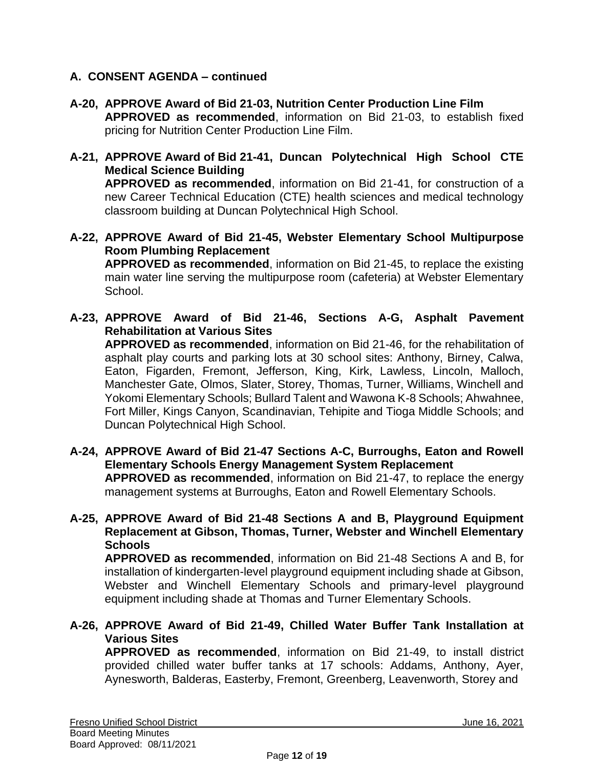- **A-20, APPROVE Award of Bid 21-03, Nutrition Center Production Line Film APPROVED as recommended**, information on Bid 21-03, to establish fixed pricing for Nutrition Center Production Line Film.
- **A-21, APPROVE Award of Bid 21-41, Duncan Polytechnical High School CTE Medical Science Building APPROVED as recommended**, information on Bid 21-41, for construction of a new Career Technical Education (CTE) health sciences and medical technology classroom building at Duncan Polytechnical High School.
- **A-22, APPROVE Award of Bid 21-45, Webster Elementary School Multipurpose Room Plumbing Replacement**

**APPROVED as recommended**, information on Bid 21-45, to replace the existing main water line serving the multipurpose room (cafeteria) at Webster Elementary School.

**A-23, APPROVE Award of Bid 21-46, Sections A-G, Asphalt Pavement Rehabilitation at Various Sites**

**APPROVED as recommended**, information on Bid 21-46, for the rehabilitation of asphalt play courts and parking lots at 30 school sites: Anthony, Birney, Calwa, Eaton, Figarden, Fremont, Jefferson, King, Kirk, Lawless, Lincoln, Malloch, Manchester Gate, Olmos, Slater, Storey, Thomas, Turner, Williams, Winchell and Yokomi Elementary Schools; Bullard Talent and Wawona K-8 Schools; Ahwahnee, Fort Miller, Kings Canyon, Scandinavian, Tehipite and Tioga Middle Schools; and Duncan Polytechnical High School.

**A-24, APPROVE Award of Bid 21-47 Sections A-C, Burroughs, Eaton and Rowell Elementary Schools Energy Management System Replacement APPROVED as recommended**, information on Bid 21-47, to replace the energy management systems at Burroughs, Eaton and Rowell Elementary Schools.

**A-25, APPROVE Award of Bid 21-48 Sections A and B, Playground Equipment Replacement at Gibson, Thomas, Turner, Webster and Winchell Elementary Schools APPROVED as recommended**, information on Bid 21-48 Sections A and B, for

installation of kindergarten-level playground equipment including shade at Gibson, Webster and Winchell Elementary Schools and primary-level playground equipment including shade at Thomas and Turner Elementary Schools.

**A-26, APPROVE Award of Bid 21-49, Chilled Water Buffer Tank Installation at Various Sites**

**APPROVED as recommended**, information on Bid 21-49, to install district provided chilled water buffer tanks at 17 schools: Addams, Anthony, Ayer, Aynesworth, Balderas, Easterby, Fremont, Greenberg, Leavenworth, Storey and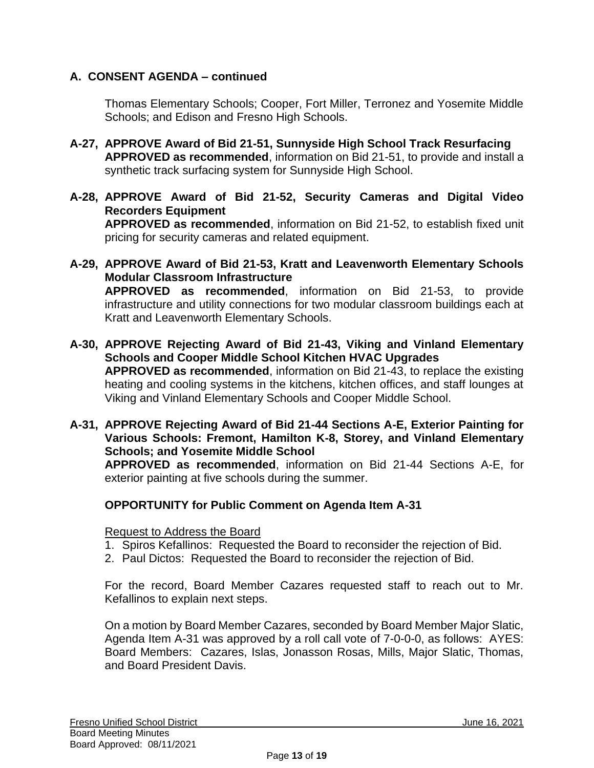Thomas Elementary Schools; Cooper, Fort Miller, Terronez and Yosemite Middle Schools; and Edison and Fresno High Schools.

- **A-27, APPROVE Award of Bid 21-51, Sunnyside High School Track Resurfacing APPROVED as recommended**, information on Bid 21-51, to provide and install a synthetic track surfacing system for Sunnyside High School.
- **A-28, APPROVE Award of Bid 21-52, Security Cameras and Digital Video Recorders Equipment APPROVED as recommended**, information on Bid 21-52, to establish fixed unit pricing for security cameras and related equipment.
- **A-29, APPROVE Award of Bid 21-53, Kratt and Leavenworth Elementary Schools Modular Classroom Infrastructure APPROVED as recommended**, information on Bid 21-53, to provide infrastructure and utility connections for two modular classroom buildings each at Kratt and Leavenworth Elementary Schools.
- **A-30, APPROVE Rejecting Award of Bid 21-43, Viking and Vinland Elementary Schools and Cooper Middle School Kitchen HVAC Upgrades APPROVED as recommended**, information on Bid 21-43, to replace the existing heating and cooling systems in the kitchens, kitchen offices, and staff lounges at Viking and Vinland Elementary Schools and Cooper Middle School.
- **A-31, APPROVE Rejecting Award of Bid 21-44 Sections A-E, Exterior Painting for Various Schools: Fremont, Hamilton K-8, Storey, and Vinland Elementary Schools; and Yosemite Middle School**

**APPROVED as recommended**, information on Bid 21-44 Sections A-E, for exterior painting at five schools during the summer.

# **OPPORTUNITY for Public Comment on Agenda Item A-31**

#### Request to Address the Board

- 1. Spiros Kefallinos: Requested the Board to reconsider the rejection of Bid.
- 2. Paul Dictos: Requested the Board to reconsider the rejection of Bid.

For the record, Board Member Cazares requested staff to reach out to Mr. Kefallinos to explain next steps.

On a motion by Board Member Cazares, seconded by Board Member Major Slatic, Agenda Item A-31 was approved by a roll call vote of 7-0-0-0, as follows: AYES: Board Members: Cazares, Islas, Jonasson Rosas, Mills, Major Slatic, Thomas, and Board President Davis.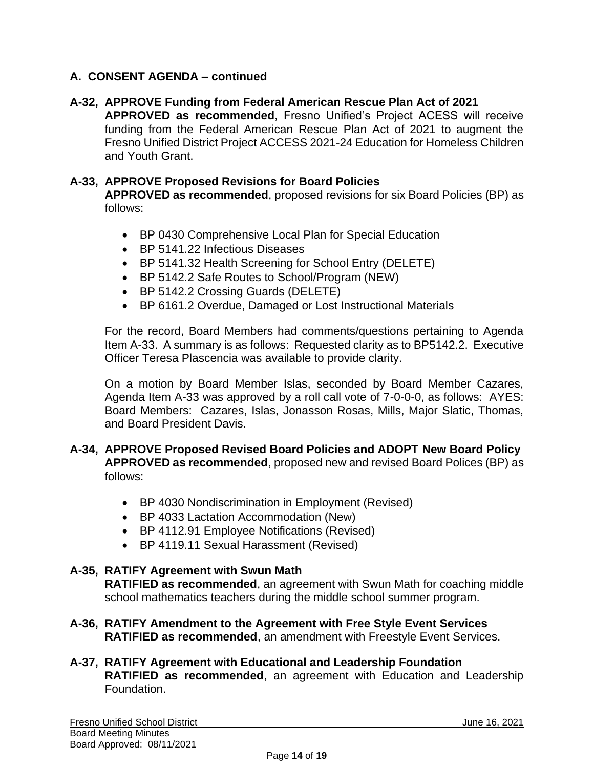### **A-32, APPROVE Funding from Federal American Rescue Plan Act of 2021**

**APPROVED as recommended**, Fresno Unified's Project ACESS will receive funding from the Federal American Rescue Plan Act of 2021 to augment the Fresno Unified District Project ACCESS 2021-24 Education for Homeless Children and Youth Grant.

#### **A-33, APPROVE Proposed Revisions for Board Policies**

**APPROVED as recommended**, proposed revisions for six Board Policies (BP) as follows:

- BP 0430 Comprehensive Local Plan for Special Education
- BP 5141.22 Infectious Diseases
- BP 5141.32 Health Screening for School Entry (DELETE)
- BP 5142.2 Safe Routes to School/Program (NEW)
- BP 5142.2 Crossing Guards (DELETE)
- BP 6161.2 Overdue, Damaged or Lost Instructional Materials

For the record, Board Members had comments/questions pertaining to Agenda Item A-33. A summary is as follows: Requested clarity as to BP5142.2. Executive Officer Teresa Plascencia was available to provide clarity.

On a motion by Board Member Islas, seconded by Board Member Cazares, Agenda Item A-33 was approved by a roll call vote of 7-0-0-0, as follows: AYES: Board Members: Cazares, Islas, Jonasson Rosas, Mills, Major Slatic, Thomas, and Board President Davis.

#### **A-34, APPROVE Proposed Revised Board Policies and ADOPT New Board Policy APPROVED as recommended**, proposed new and revised Board Polices (BP) as follows:

- BP 4030 Nondiscrimination in Employment (Revised)
- BP 4033 Lactation Accommodation (New)
- BP 4112.91 Employee Notifications (Revised)
- BP 4119.11 Sexual Harassment (Revised)

# **A-35, RATIFY Agreement with Swun Math RATIFIED as recommended**, an agreement with Swun Math for coaching middle school mathematics teachers during the middle school summer program.

- **A-36, RATIFY Amendment to the Agreement with Free Style Event Services RATIFIED as recommended**, an amendment with Freestyle Event Services.
- **A-37, RATIFY Agreement with Educational and Leadership Foundation RATIFIED as recommended**, an agreement with Education and Leadership Foundation.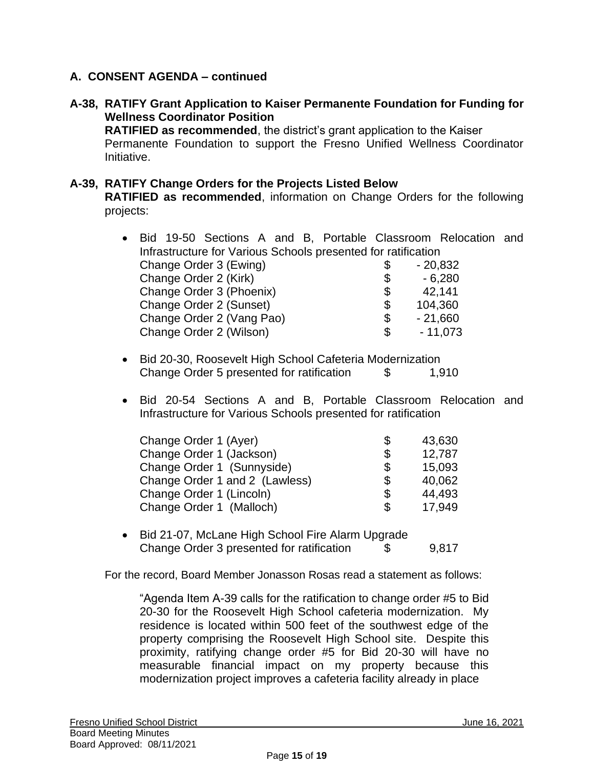### **A-38, RATIFY Grant Application to Kaiser Permanente Foundation for Funding for Wellness Coordinator Position**

**RATIFIED as recommended**, the district's grant application to the Kaiser Permanente Foundation to support the Fresno Unified Wellness Coordinator Initiative.

#### **A-39, RATIFY Change Orders for the Projects Listed Below**

**RATIFIED as recommended**, information on Change Orders for the following projects:

| $\bullet$ | Bid 19-50 Sections A and B, Portable Classroom Relocation and |                 |  |
|-----------|---------------------------------------------------------------|-----------------|--|
|           | Infrastructure for Various Schools presented for ratification |                 |  |
|           | Change Order 3 (Ewing)                                        | \$<br>$-20,832$ |  |
|           | Change Order 2 (Kirk)                                         | \$<br>$-6,280$  |  |
|           | Change Order 3 (Phoenix)                                      | \$<br>42,141    |  |
|           | Change Order 2 (Sunset)                                       | \$<br>104,360   |  |
|           | Change Order 2 (Vang Pao)                                     | \$<br>$-21,660$ |  |
|           | Change Order 2 (Wilson)                                       | \$<br>$-11,073$ |  |
|           |                                                               |                 |  |

- Bid 20-30, Roosevelt High School Cafeteria Modernization Change Order 5 presented for ratification \$ 1,910
- Bid 20-54 Sections A and B, Portable Classroom Relocation and Infrastructure for Various Schools presented for ratification

| Change Order 1 (Ayer)          | \$<br>43,630 |
|--------------------------------|--------------|
| Change Order 1 (Jackson)       | \$<br>12,787 |
| Change Order 1 (Sunnyside)     | \$<br>15,093 |
| Change Order 1 and 2 (Lawless) | \$<br>40,062 |
| Change Order 1 (Lincoln)       | \$<br>44,493 |
| Change Order 1 (Malloch)       | \$<br>17,949 |

• Bid 21-07, McLane High School Fire Alarm Upgrade Change Order 3 presented for ratification \$ 9,817

For the record, Board Member Jonasson Rosas read a statement as follows:

"Agenda Item A-39 calls for the ratification to change order #5 to Bid 20-30 for the Roosevelt High School cafeteria modernization. My residence is located within 500 feet of the southwest edge of the property comprising the Roosevelt High School site. Despite this proximity, ratifying change order #5 for Bid 20-30 will have no measurable financial impact on my property because this modernization project improves a cafeteria facility already in place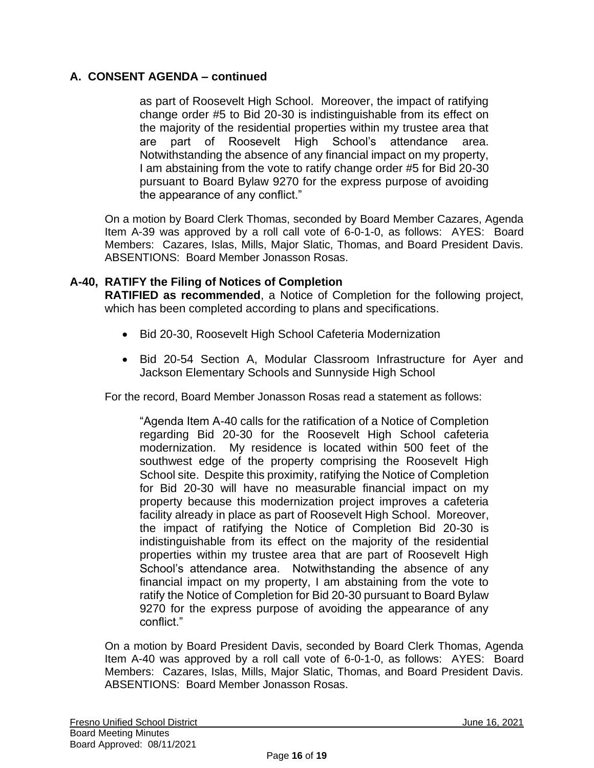as part of Roosevelt High School. Moreover, the impact of ratifying change order #5 to Bid 20-30 is indistinguishable from its effect on the majority of the residential properties within my trustee area that are part of Roosevelt High School's attendance area. Notwithstanding the absence of any financial impact on my property, I am abstaining from the vote to ratify change order #5 for Bid 20-30 pursuant to Board Bylaw 9270 for the express purpose of avoiding the appearance of any conflict."

On a motion by Board Clerk Thomas, seconded by Board Member Cazares, Agenda Item A-39 was approved by a roll call vote of 6-0-1-0, as follows: AYES: Board Members: Cazares, Islas, Mills, Major Slatic, Thomas, and Board President Davis. ABSENTIONS: Board Member Jonasson Rosas.

### **A-40, RATIFY the Filing of Notices of Completion**

**RATIFIED as recommended**, a Notice of Completion for the following project, which has been completed according to plans and specifications.

- Bid 20-30, Roosevelt High School Cafeteria Modernization
- Bid 20-54 Section A, Modular Classroom Infrastructure for Ayer and Jackson Elementary Schools and Sunnyside High School

For the record, Board Member Jonasson Rosas read a statement as follows:

"Agenda Item A-40 calls for the ratification of a Notice of Completion regarding Bid 20-30 for the Roosevelt High School cafeteria modernization. My residence is located within 500 feet of the southwest edge of the property comprising the Roosevelt High School site. Despite this proximity, ratifying the Notice of Completion for Bid 20-30 will have no measurable financial impact on my property because this modernization project improves a cafeteria facility already in place as part of Roosevelt High School. Moreover, the impact of ratifying the Notice of Completion Bid 20-30 is indistinguishable from its effect on the majority of the residential properties within my trustee area that are part of Roosevelt High School's attendance area. Notwithstanding the absence of any financial impact on my property, I am abstaining from the vote to ratify the Notice of Completion for Bid 20-30 pursuant to Board Bylaw 9270 for the express purpose of avoiding the appearance of any conflict."

On a motion by Board President Davis, seconded by Board Clerk Thomas, Agenda Item A-40 was approved by a roll call vote of 6-0-1-0, as follows: AYES: Board Members: Cazares, Islas, Mills, Major Slatic, Thomas, and Board President Davis. ABSENTIONS: Board Member Jonasson Rosas.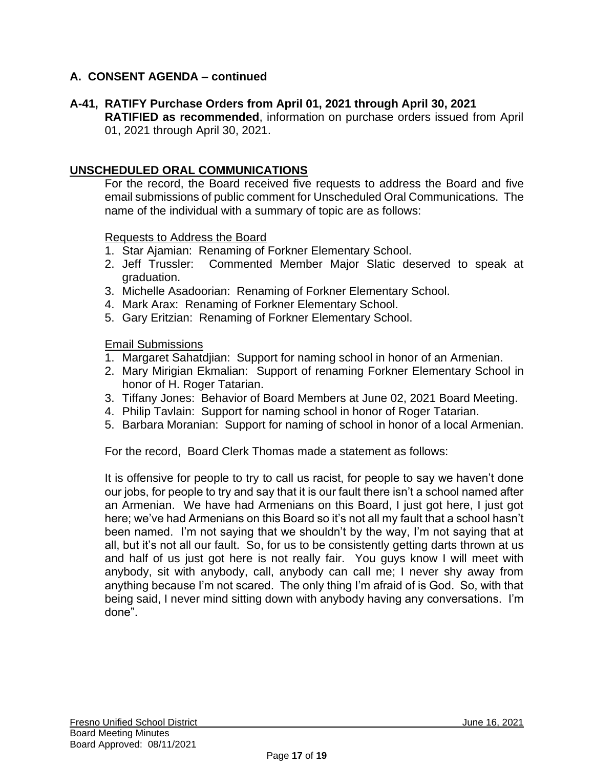# **A-41, RATIFY Purchase Orders from April 01, 2021 through April 30, 2021**

**RATIFIED as recommended**, information on purchase orders issued from April 01, 2021 through April 30, 2021.

### **UNSCHEDULED ORAL COMMUNICATIONS**

For the record, the Board received five requests to address the Board and five email submissions of public comment for Unscheduled Oral Communications. The name of the individual with a summary of topic are as follows:

#### Requests to Address the Board

- 1. Star Ajamian: Renaming of Forkner Elementary School.
- 2. Jeff Trussler: Commented Member Major Slatic deserved to speak at graduation.
- 3. Michelle Asadoorian: Renaming of Forkner Elementary School.
- 4. Mark Arax: Renaming of Forkner Elementary School.
- 5. Gary Eritzian: Renaming of Forkner Elementary School.

Email Submissions

- 1. Margaret Sahatdjian: Support for naming school in honor of an Armenian.
- 2. Mary Mirigian Ekmalian: Support of renaming Forkner Elementary School in honor of H. Roger Tatarian.
- 3. Tiffany Jones: Behavior of Board Members at June 02, 2021 Board Meeting.
- 4. Philip Tavlain: Support for naming school in honor of Roger Tatarian.
- 5. Barbara Moranian: Support for naming of school in honor of a local Armenian.

For the record, Board Clerk Thomas made a statement as follows:

It is offensive for people to try to call us racist, for people to say we haven't done our jobs, for people to try and say that it is our fault there isn't a school named after an Armenian. We have had Armenians on this Board, I just got here, I just got here; we've had Armenians on this Board so it's not all my fault that a school hasn't been named. I'm not saying that we shouldn't by the way, I'm not saying that at all, but it's not all our fault. So, for us to be consistently getting darts thrown at us and half of us just got here is not really fair. You guys know I will meet with anybody, sit with anybody, call, anybody can call me; I never shy away from anything because I'm not scared. The only thing I'm afraid of is God. So, with that being said, I never mind sitting down with anybody having any conversations. I'm done".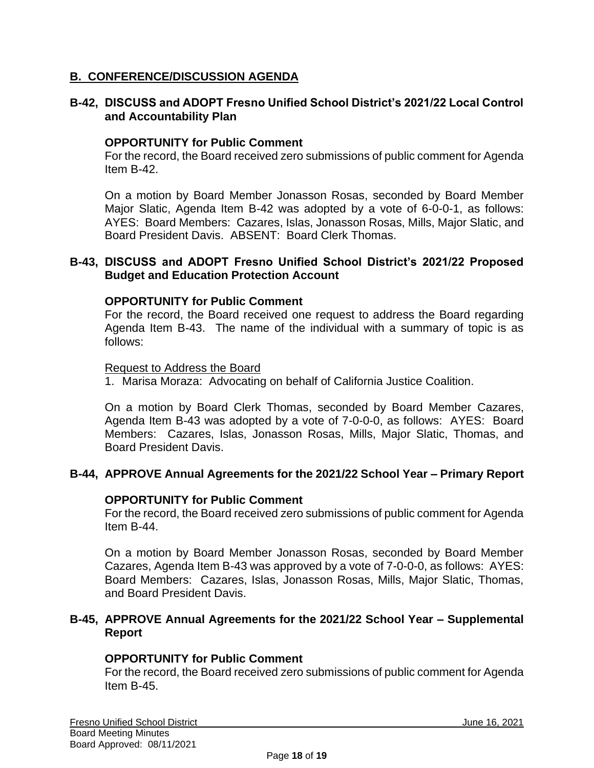### **B. CONFERENCE/DISCUSSION AGENDA**

#### **B-42, DISCUSS and ADOPT Fresno Unified School District's 2021/22 Local Control and Accountability Plan**

#### **OPPORTUNITY for Public Comment**

For the record, the Board received zero submissions of public comment for Agenda Item B-42.

On a motion by Board Member Jonasson Rosas, seconded by Board Member Major Slatic, Agenda Item B-42 was adopted by a vote of 6-0-0-1, as follows: AYES: Board Members: Cazares, Islas, Jonasson Rosas, Mills, Major Slatic, and Board President Davis. ABSENT: Board Clerk Thomas.

#### **B-43, DISCUSS and ADOPT Fresno Unified School District's 2021/22 Proposed Budget and Education Protection Account**

#### **OPPORTUNITY for Public Comment**

For the record, the Board received one request to address the Board regarding Agenda Item B-43. The name of the individual with a summary of topic is as follows:

#### Request to Address the Board

1. Marisa Moraza: Advocating on behalf of California Justice Coalition.

On a motion by Board Clerk Thomas, seconded by Board Member Cazares, Agenda Item B-43 was adopted by a vote of 7-0-0-0, as follows: AYES: Board Members: Cazares, Islas, Jonasson Rosas, Mills, Major Slatic, Thomas, and Board President Davis.

### **B-44, APPROVE Annual Agreements for the 2021/22 School Year – Primary Report**

#### **OPPORTUNITY for Public Comment**

For the record, the Board received zero submissions of public comment for Agenda Item B-44.

On a motion by Board Member Jonasson Rosas, seconded by Board Member Cazares, Agenda Item B-43 was approved by a vote of 7-0-0-0, as follows: AYES: Board Members: Cazares, Islas, Jonasson Rosas, Mills, Major Slatic, Thomas, and Board President Davis.

#### **B-45, APPROVE Annual Agreements for the 2021/22 School Year – Supplemental Report**

#### **OPPORTUNITY for Public Comment**

For the record, the Board received zero submissions of public comment for Agenda Item B-45.